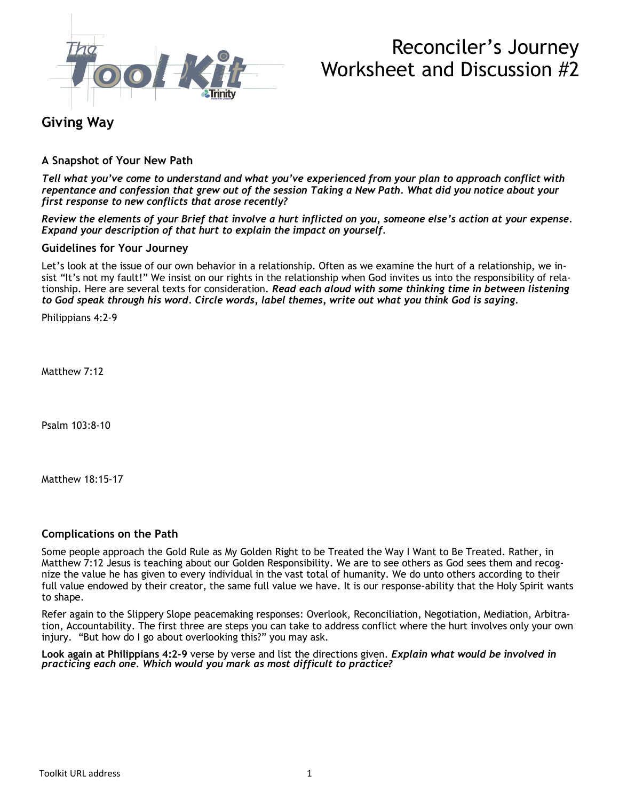

# Reconciler's Journey Worksheet and Discussion #2

## **Giving Way**

### **A Snapshot of Your New Path**

*Tell what you've come to understand and what you've experienced from your plan to approach conflict with repentance and confession that grew out of the session Taking a New Path. What did you notice about your first response to new conflicts that arose recently?*

*Review the elements of your Brief that involve a hurt inflicted on you, someone else's action at your expense. Expand your description of that hurt to explain the impact on yourself.*

#### **Guidelines for Your Journey**

Let's look at the issue of our own behavior in a relationship. Often as we examine the hurt of a relationship, we insist "It's not my fault!" We insist on our rights in the relationship when God invites us into the responsibility of relationship. Here are several texts for consideration. *Read each aloud with some thinking time in between listening to God speak through his word. Circle words, label themes, write out what you think God is saying.*

Philippians 4:2-9

Matthew 7:12

Psalm 103:8-10

Matthew 18:15-17

#### **Complications on the Path**

Some people approach the Gold Rule as My Golden Right to be Treated the Way I Want to Be Treated. Rather, in Matthew 7:12 Jesus is teaching about our Golden Responsibility. We are to see others as God sees them and recognize the value he has given to every individual in the vast total of humanity. We do unto others according to their full value endowed by their creator, the same full value we have. It is our response-ability that the Holy Spirit wants to shape.

Refer again to the Slippery Slope peacemaking responses: Overlook, Reconciliation, Negotiation, Mediation, Arbitration, Accountability. The first three are steps you can take to address conflict where the hurt involves only your own injury. "But how do I go about overlooking this?" you may ask.

**Look again at Philippians 4:2-9** verse by verse and list the directions given. *Explain what would be involved in practicing each one. Which would you mark as most difficult to practice?*